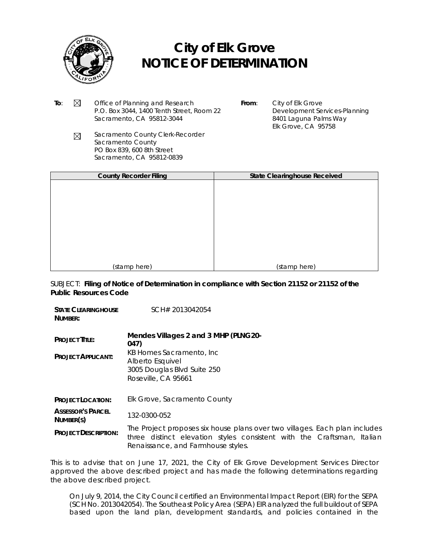

- **To**:  $\boxtimes$  Office of Planning and Research P.O. Box 3044, 1400 Tenth Street, Room 22 Sacramento, CA 95812-3044
- **From**: City of Elk Grove Development Services-Planning 8401 Laguna Palms Way Elk Grove, CA 95758
- Sacramento County Clerk-Recorder  $\boxtimes$ Sacramento County PO Box 839, 600 8th Street Sacramento, CA 95812-0839

| <b>County Recorder Filing</b> | <b>State Clearinghouse Received</b> |
|-------------------------------|-------------------------------------|
|                               |                                     |
|                               |                                     |
|                               |                                     |
|                               |                                     |
|                               |                                     |
|                               |                                     |
|                               |                                     |
|                               |                                     |
| (stamp here)                  | (stamp here)                        |

*SUBJECT: Filing of Notice of Determination in compliance with Section 21152 or 21152 of the Public Resources Code*

| <b><i>STATE CLEARINGHOUSE</i></b><br>NUMBER:       | SCH# 2013042054                                                                                                                                                                            |
|----------------------------------------------------|--------------------------------------------------------------------------------------------------------------------------------------------------------------------------------------------|
| <b>PROJECT TITLE:</b><br><b>PROJECT APPLICANT:</b> | Mendes Villages 2 and 3 MHP (PLNG20-<br>047)<br>KB Homes Sacramento, Inc.<br>Alberto Esquivel<br>3005 Douglas Blvd Suite 250<br>Roseville, CA 95661                                        |
| <b>PROJECT LOCATION:</b>                           | Elk Grove, Sacramento County                                                                                                                                                               |
| <b>ASSESSOR'S PARCEL</b><br>NUMBER(S)              | 132-0300-052                                                                                                                                                                               |
| <b>PROJECT DESCRIPTION:</b>                        | The Project proposes six house plans over two villages. Each plan includes<br>three distinct elevation styles consistent with the Craftsman, Italian<br>Renaissance, and Farmhouse styles. |

This is to advise that on June 17, 2021, the City of Elk Grove Development Services Director approved the above described project and has made the following determinations regarding the above described project.

On July 9, 2014, the City Council certified an Environmental Impact Report (EIR) for the SEPA (SCH No. 2013042054). The Southeast Policy Area (SEPA) EIR analyzed the full buildout of SEPA based upon the land plan, development standards, and policies contained in the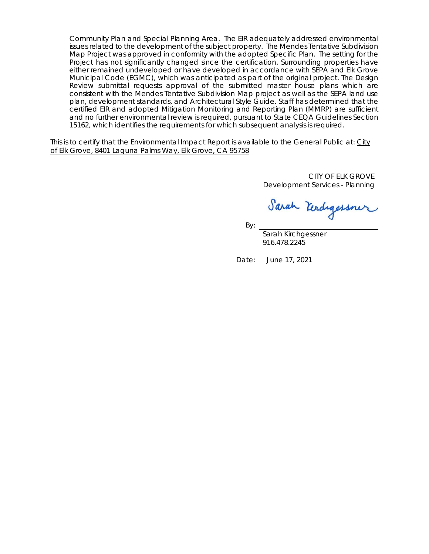Community Plan and Special Planning Area. The EIR adequately addressed environmental issues related to the development of the subject property. The Mendes Tentative Subdivision Map Project was approved in conformity with the adopted Specific Plan. The setting for the Project has not significantly changed since the certification. Surrounding properties have either remained undeveloped or have developed in accordance with SEPA and Elk Grove Municipal Code (EGMC), which was anticipated as part of the original project. The Design Review submittal requests approval of the submitted master house plans which are consistent with the Mendes Tentative Subdivision Map project as well as the SEPA land use plan, development standards, and Architectural Style Guide. Staff has determined that the certified EIR and adopted Mitigation Monitoring and Reporting Plan (MMRP) are sufficient and no further environmental review is required, pursuant to State CEQA Guidelines Section 15162, which identifies the requirements for which subsequent analysis is required.

This is to certify that the Environmental Impact Report is available to the General Public at: City of Elk Grove, 8401 Laguna Palms Way, Elk Grove, CA 95758

> CITY OF ELK GROVE Development Services - Planning

Sarah Kerdigessner

916.478.2245

Date: June 17, 2021

By: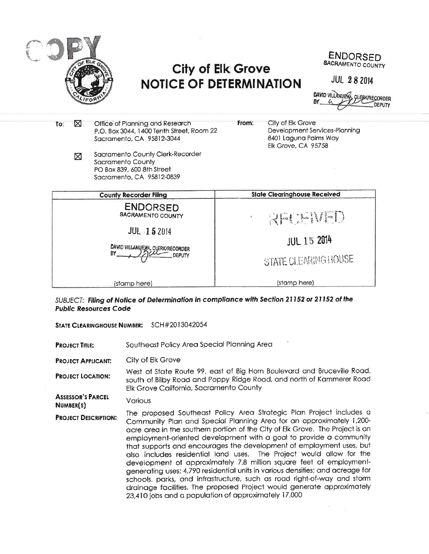

ENDORSED SACRAMENTO COUNTY

**JUL 28 2014** 

**DAVID VILLANUEWA** EBK/RECORDER

| To: | ⊠ | Office of Planning and Research<br>P.O. Box 3044, 1400 Tenth Street, Room 22<br>Sacramento, CA 95812-3044        | From: | City of Elk Grove<br>Development Services-Planning<br>8401 Laguna Palms Way<br><b>Elk Grove, CA 95758</b> |
|-----|---|------------------------------------------------------------------------------------------------------------------|-------|-----------------------------------------------------------------------------------------------------------|
|     | ⊠ | Sacramento County Clerk-Recorder<br>Sacramento County<br>PO Box 839, 600 8th Street<br>Sacramento, CA 95812-0839 |       |                                                                                                           |
|     |   | <b>County Recorder Filing</b>                                                                                    |       | <b>State Clearinghouse Received</b>                                                                       |
|     |   | <b>ENDORSED</b><br>SACRAMENTO COUNTY                                                                             |       | RECEIPED                                                                                                  |
|     |   | JUL -1 5 2014<br>DAVID VILLANUEXA, CLERK/RECORDER<br>BY.<br>DEPUTY                                               |       | <b>JUL 15 2014</b><br>STATE CLEARING HOUSE                                                                |
|     |   | (stamp here)                                                                                                     |       | (stamp here)                                                                                              |

SUBJECT: Filing of Notice of Determination in compliance with Section 21152 or 21152 of the **Public Resources Code** 

STATE CLEARINGHOUSE NUMBER: SCH#2013042054

Southeast Policy Area Special Planning Area **PROJECT TITLE:** 

City of Elk Grove **PROJECT APPLICANT:** 

West of State Route 99, east of Big Horn Boulevard and Bruceville Road, **PROJECT LOCATION:** south of Bilby Road and Poppy Ridge Road, and north of Kammerer Road Elk Grove California, Sacramento County

**ASSESSOR'S PARCEL** Various NUMBER(S)

The proposed Southeast Policy Area Strategic Plan Project includes a **PROJECT DESCRIPTION:** Community Plan and Special Planning Area for an approximately 1,200acre area in the southern portion of the City of Elk Grove. The Project is an employment-oriented development with a goal to provide a community that supports and encourages the development of employment uses, but also includes residential land uses. The Project would allow for the development of approximately 7.8 million square feet of employmentgenerating uses; 4,790 residential units in various densities; and acreage for schools, parks, and infrastructure, such as road right-of-way and storm drainage facilities. The proposed Project would generate approximately 23,410 jobs and a population of approximately 17,000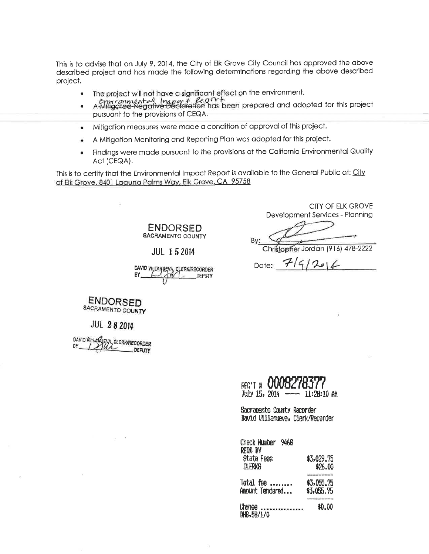This is to advise that on July 9, 2014, the City of Elk Grove City Council has approved the above described project and has made the following determinations regarding the above described project.

- The project will not have a significant effect on the environment.  $\bullet$
- A Miligated Negative Declaration has been prepared and adopted for this project pursuant to the provisions of CEQA.
- Mitigation measures were made a condition of approval of this project.  $\bullet$
- A Mitiaation Monitoring and Reporting Plan was adopted for this project.
- Findings were made pursuant to the provisions of the California Environmental Quality  $\bullet$ Act (CEQA).

This is to certify that the Environmental Impact Report is available to the General Public at: City of Elk Grove, 8401 Laquna Palms Way, Elk Grove, CA 95758

> **ENDORSED** SACRAMENTO COUNTY

> > **JUL 15 2014**

DAVID VILLANDEVA, CLERK/RECORDER BY **DEPUTY** 

**CITY OF ELK GROVE** Development Services - Planning

By:

Christopher Jordan (916) 478-2222

Date:  $7/9/206$ 

**ENDORSED** SACRAMENTO COUNTY

**JUL 28 2014** 

DAVID VILLAR (EVA, CLERK/RECORDER **DEPUTY** 

| REC'T # 0008278377<br>July 15, 2014 ---- 11:28:10 AM           |  |
|----------------------------------------------------------------|--|
| Sacramento County Recorder<br>David Villanueva, Clerk/Recorder |  |
| Check Mumber 9468<br>rfod by<br>Maada Faaa                     |  |

| 51918 P <del>C</del> S<br><b>CLERKS</b> | \$J,029.75<br>\$26.00<br>-------- |
|-----------------------------------------|-----------------------------------|
| Total fee                               | \$3,055.75                        |
| Amount Tendered                         | \$3,055.75                        |
| <b>Change</b>                           |                                   |
| DHB,5B/1/0                              | \$0.00                            |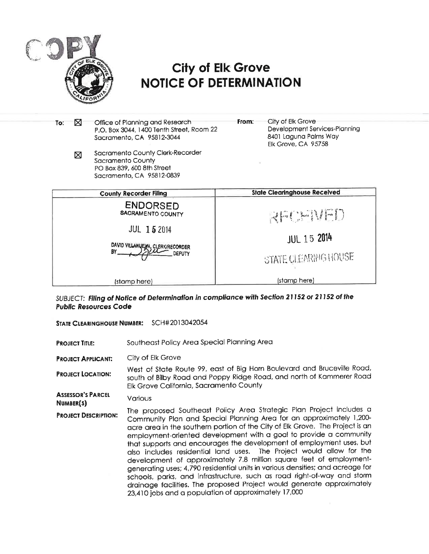

| To: | ⊠ | Office of Planning and Research<br>P.O. Box 3044, 1400 Tenth Street, Room 22<br>Sacramento, CA 95812-3044        | From: | City of Elk Grove<br>Development Services-Planning<br>8401 Laguna Palms Way<br>Elk Grove, CA 95758 |
|-----|---|------------------------------------------------------------------------------------------------------------------|-------|----------------------------------------------------------------------------------------------------|
|     | ⊠ | Sacramento County Clerk-Recorder<br>Sacramento County<br>PO Box 839, 600 8th Street<br>Sacramento, CA 95812-0839 |       |                                                                                                    |
|     |   | <b>County Recorder Filing</b>                                                                                    |       | <b>State Clearinghouse Received</b>                                                                |
|     |   | <b>ENDORSED</b><br>SACRAMENTO COUNTY<br><b>JUL 15 2014</b><br>DAVID VILLANUEYA, CLERK/RECORDER<br>BY.<br>DEPUTY  |       | REAL AND<br><b>JUL 15 2014</b><br>STATE CLEARING HOUSE                                             |
|     |   | (stamp here)                                                                                                     |       | (stamp here)                                                                                       |

SUBJECT: Filing of Notice of Determination in compliance with Section 21152 or 21152 of the **Public Resources Code** 

STATE CLEARINGHOUSE NUMBER: SCH#2013042054

Southeast Policy Area Special Planning Area **PROJECT TITLE:** 

City of Elk Grove **PROJECT APPLICANT:** 

West of State Route 99, east of Big Horn Boulevard and Bruceville Road, **PROJECT LOCATION:** south of Bilby Road and Poppy Ridge Road, and north of Kammerer Road Elk Grove California, Sacramento County

**ASSESSOR'S PARCEL** Various NUMBER(S)

The proposed Southeast Policy Area Strategic Plan Project includes a **PROJECT DESCRIPTION:** Community Plan and Special Planning Area for an approximately 1,200acre area in the southern portion of the City of Elk Grove. The Project is an employment-oriented development with a goal to provide a community that supports and encourages the development of employment uses, but also includes residential land uses. The Project would allow for the development of approximately 7.8 million square feet of employmentgenerating uses; 4,790 residential units in various densities; and acreage for schools, parks, and infrastructure, such as road right-of-way and storm drainage facilities. The proposed Project would generate approximately 23,410 jobs and a population of approximately 17,000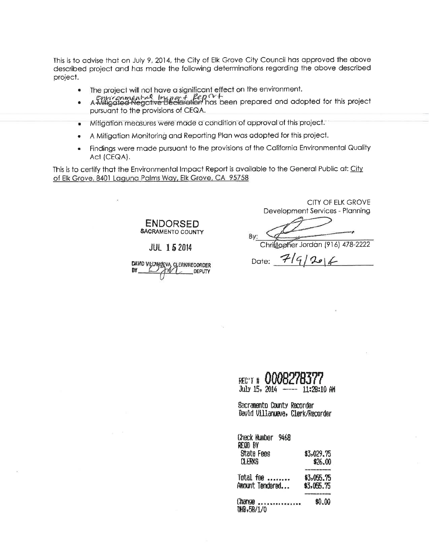This is to advise that on July 9, 2014, the City of Elk Grove City Council has approved the above described project and has made the following determinations regarding the above described project.

- The project will not have a significant effect on the environment.  $\bullet$
- Entriconment-el Import le DCr +<br>A Miligated Negative Declaration has been prepared and adopted for this project  $\bullet$ pursuant to the provisions of CEQA.
- Mitigation measures were made a condition of approval of this project.  $\bullet$
- A Mitigation Monitoring and Reporting Plan was adopted for this project.  $\bullet$
- Findings were made pursuant to the provisions of the California Environmental Quality  $\bullet$ Act (CEQA).

This is to certify that the Environmental Impact Report is available to the General Public at: City of Elk Grove, 8401 Laguna Palms Way, Elk Grove, CA 95758

> **ENDORSED** SACRAMENTO COUNTY

#### **JUL 15 2014**

DAVID VILLANDEVA CLERKRECORDER

CITY OF ELK GROVE Development Services - Planning

Bv: Christopher Jordan (916) 478-2222

Date:  $7/9/206$ 

|               | REG'T # 0008278377 |             |  |
|---------------|--------------------|-------------|--|
| July 15, 2014 |                    | 11:28:10 AM |  |

the City and the Sections too and contact

Sacramento County Recorder David Villanueva, Clerk/Recorder

| Check Municer 9468<br>REQD BY |                                          |
|-------------------------------|------------------------------------------|
| State Fees<br><b>CLERKS</b>   | \$3,029.75<br>\$26.00<br>and the company |
| Total fee<br>Amount Tendered  | \$3,055.75<br>\$3,055.75                 |
| <b>Change</b><br>DHB,58/1/0   | \$0.00                                   |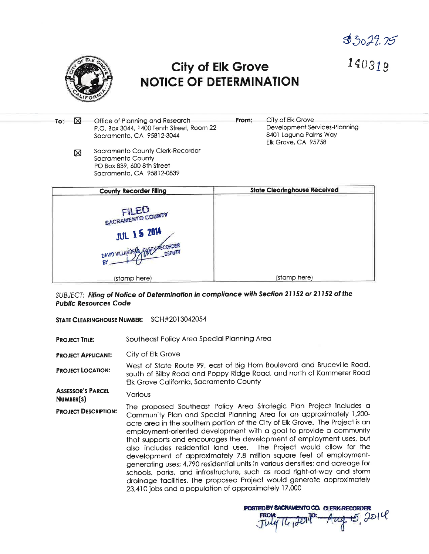$$3029.75$ 



 $140319$ 

Office of Planning and Research City of Elk Grove ⊠ From: To: Development Services-Planning P.O. Box 3044, 1400 Tenth Street, Room 22 8401 Laguna Palms Way Sacramento, CA 95812-3044 Elk Grove, CA 95758 Sacramento County Clerk-Recorder ⊠ Sacramento County PO Box 839, 600 8th Street Sacramento, CA 95812-0839 **County Recorder Filing State Clearinghouse Received** FILED **SACRAMENTO COUNTY JUL 15 2014** (stamp here) (stamp here)

SUBJECT: Filing of Notice of Determination in compliance with Section 21152 or 21152 of the **Public Resources Code** 

STATE CLEARINGHOUSE NUMBER: SCH#2013042054

- Southeast Policy Area Special Planning Area **PROJECT TITLE:**
- City of Elk Grove **PROJECT APPLICANT:**

West of State Route 99, east of Big Horn Boulevard and Bruceville Road, **PROJECT LOCATION:** south of Bilby Road and Poppy Ridge Road, and north of Kammerer Road Elk Grove California, Sacramento County

**ASSESSOR'S PARCEL** Various NUMBER(S)

The proposed Southeast Policy Area Strategic Plan Project includes a **PROJECT DESCRIPTION:** Community Plan and Special Planning Area for an approximately 1,200acre area in the southern portion of the City of Elk Grove. The Project is an employment-oriented development with a goal to provide a community that supports and encourages the development of employment uses, but also includes residential land uses. The Project would allow for the development of approximately 7.8 million square feet of employmentgenerating uses; 4,790 residential units in various densities; and acreage for schools, parks, and infrastructure, such as road right-of-way and storm drainage facilities. The proposed Project would generate approximately 23,410 jobs and a population of approximately 17,000

POSTED BY BACRAMENTO CO. CLERK-RECORDER <del>ug 15</del>, Joll